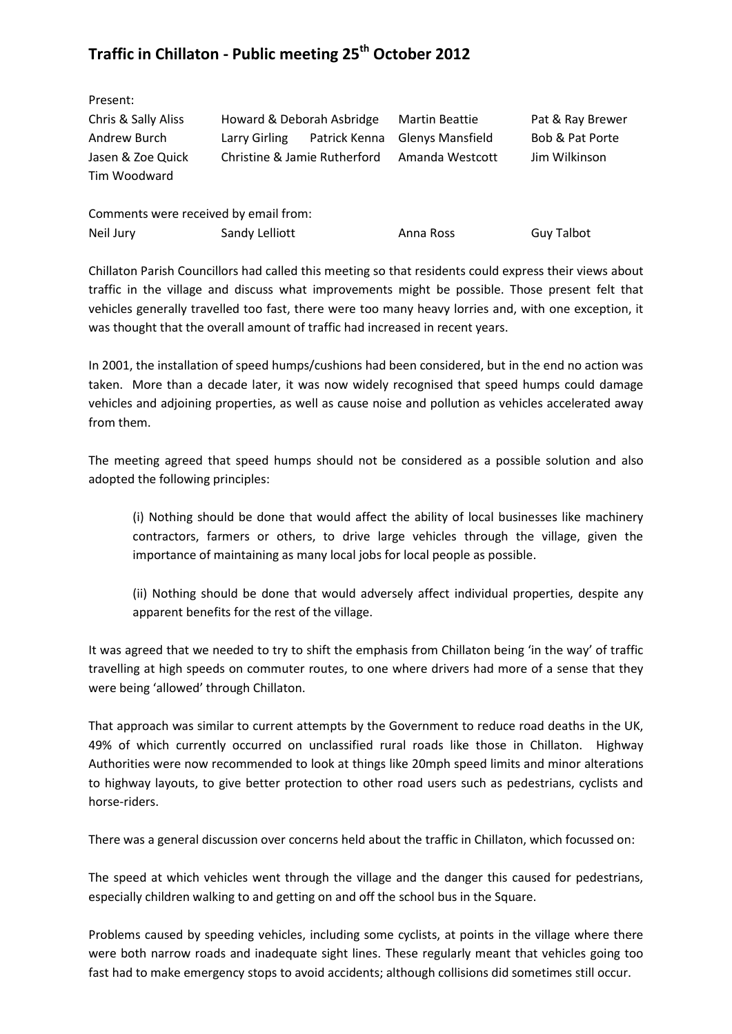## **Traffic in Chillaton - Public meeting 25th October 2012**

| Present:                              |                              |               |                         |                            |
|---------------------------------------|------------------------------|---------------|-------------------------|----------------------------|
| Chris & Sally Aliss                   | Howard & Deborah Asbridge    |               | <b>Martin Beattie</b>   | Pat & Ray Brewer           |
| Andrew Burch                          | Larry Girling                | Patrick Kenna | <b>Glenys Mansfield</b> | <b>Bob &amp; Pat Porte</b> |
| Jasen & Zoe Quick                     | Christine & Jamie Rutherford |               | Amanda Westcott         | Jim Wilkinson              |
| Tim Woodward                          |                              |               |                         |                            |
|                                       |                              |               |                         |                            |
| Comments were received by email from: |                              |               |                         |                            |
| Neil Jury                             | Sandy Lelliott               |               | Anna Ross               | <b>Guy Talbot</b>          |

Chillaton Parish Councillors had called this meeting so that residents could express their views about traffic in the village and discuss what improvements might be possible. Those present felt that vehicles generally travelled too fast, there were too many heavy lorries and, with one exception, it was thought that the overall amount of traffic had increased in recent years.

In 2001, the installation of speed humps/cushions had been considered, but in the end no action was taken. More than a decade later, it was now widely recognised that speed humps could damage vehicles and adjoining properties, as well as cause noise and pollution as vehicles accelerated away from them.

The meeting agreed that speed humps should not be considered as a possible solution and also adopted the following principles:

(i) Nothing should be done that would affect the ability of local businesses like machinery contractors, farmers or others, to drive large vehicles through the village, given the importance of maintaining as many local jobs for local people as possible.

(ii) Nothing should be done that would adversely affect individual properties, despite any apparent benefits for the rest of the village.

It was agreed that we needed to try to shift the emphasis from Chillaton being 'in the way' of traffic travelling at high speeds on commuter routes, to one where drivers had more of a sense that they were being 'allowed' through Chillaton.

That approach was similar to current attempts by the Government to reduce road deaths in the UK, 49% of which currently occurred on unclassified rural roads like those in Chillaton. Highway Authorities were now recommended to look at things like 20mph speed limits and minor alterations to highway layouts, to give better protection to other road users such as pedestrians, cyclists and horse-riders.

There was a general discussion over concerns held about the traffic in Chillaton, which focussed on:

The speed at which vehicles went through the village and the danger this caused for pedestrians, especially children walking to and getting on and off the school bus in the Square.

Problems caused by speeding vehicles, including some cyclists, at points in the village where there were both narrow roads and inadequate sight lines. These regularly meant that vehicles going too fast had to make emergency stops to avoid accidents; although collisions did sometimes still occur.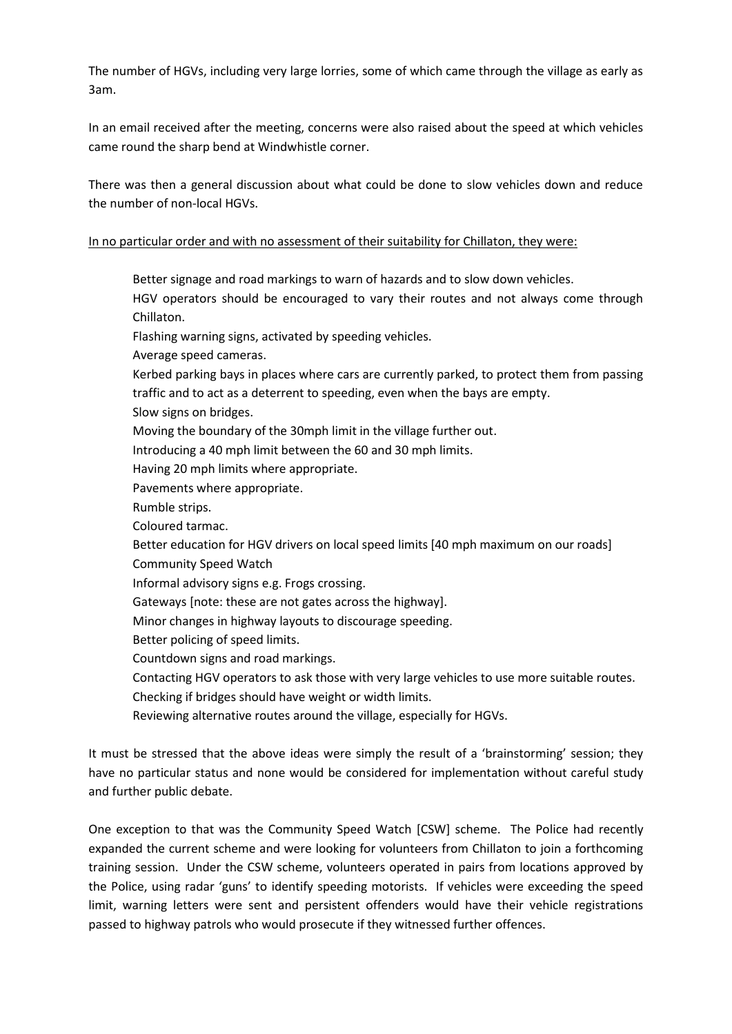The number of HGVs, including very large lorries, some of which came through the village as early as 3am.

In an email received after the meeting, concerns were also raised about the speed at which vehicles came round the sharp bend at Windwhistle corner.

There was then a general discussion about what could be done to slow vehicles down and reduce the number of non-local HGVs.

## In no particular order and with no assessment of their suitability for Chillaton, they were:

Better signage and road markings to warn of hazards and to slow down vehicles. HGV operators should be encouraged to vary their routes and not always come through Chillaton. Flashing warning signs, activated by speeding vehicles. Average speed cameras. Kerbed parking bays in places where cars are currently parked, to protect them from passing traffic and to act as a deterrent to speeding, even when the bays are empty. Slow signs on bridges. Moving the boundary of the 30mph limit in the village further out. Introducing a 40 mph limit between the 60 and 30 mph limits. Having 20 mph limits where appropriate. Pavements where appropriate. Rumble strips. Coloured tarmac. Better education for HGV drivers on local speed limits [40 mph maximum on our roads] Community Speed Watch Informal advisory signs e.g. Frogs crossing. Gateways [note: these are not gates across the highway]. Minor changes in highway layouts to discourage speeding. Better policing of speed limits. Countdown signs and road markings. Contacting HGV operators to ask those with very large vehicles to use more suitable routes. Checking if bridges should have weight or width limits. Reviewing alternative routes around the village, especially for HGVs.

It must be stressed that the above ideas were simply the result of a 'brainstorming' session; they have no particular status and none would be considered for implementation without careful study and further public debate.

One exception to that was the Community Speed Watch [CSW] scheme. The Police had recently expanded the current scheme and were looking for volunteers from Chillaton to join a forthcoming training session. Under the CSW scheme, volunteers operated in pairs from locations approved by the Police, using radar 'guns' to identify speeding motorists. If vehicles were exceeding the speed limit, warning letters were sent and persistent offenders would have their vehicle registrations passed to highway patrols who would prosecute if they witnessed further offences.